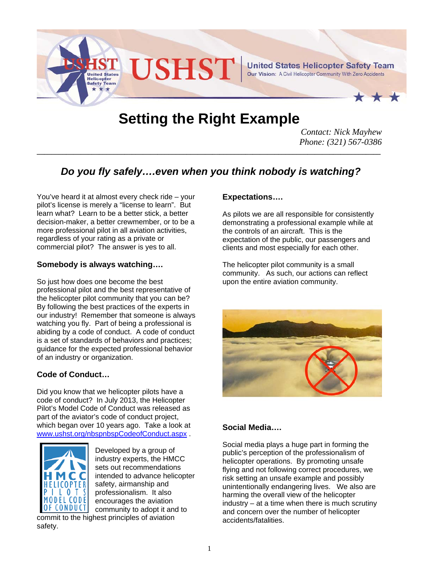

# **Setting the Right Example**

*Contact: Nick Mayhew Phone: (321) 567-0386* 

# *Do you fly safely….even when you think nobody is watching?*

**\_\_\_\_\_\_\_\_\_\_\_\_\_\_\_\_\_\_\_\_\_\_\_\_\_\_\_\_\_\_\_\_\_\_\_\_\_\_\_\_\_\_\_\_\_\_\_\_\_\_\_\_\_\_\_\_\_\_\_\_\_\_\_\_\_\_\_\_\_\_\_\_\_\_\_\_\_\_\_\_\_\_\_\_\_\_\_\_\_\_\_\_\_\_**

You've heard it at almost every check ride – your pilot's license is merely a "license to learn". But learn what? Learn to be a better stick, a better decision-maker, a better crewmember, or to be a more professional pilot in all aviation activities, regardless of your rating as a private or commercial pilot? The answer is yes to all.

### **Somebody is always watching….**

So just how does one become the best professional pilot and the best representative of the helicopter pilot community that you can be? By following the best practices of the experts in our industry! Remember that someone is always watching you fly. Part of being a professional is abiding by a code of conduct. A code of conduct is a set of standards of behaviors and practices; guidance for the expected professional behavior of an industry or organization.

## **Code of Conduct…**

Did you know that we helicopter pilots have a code of conduct? In July 2013, the Helicopter Pilot's Model Code of Conduct was released as part of the aviator's code of conduct project, which began over 10 years ago. Take a look at www.ushst.org/nbspnbspCodeofConduct.aspx .



Developed by a group of industry experts, the HMCC sets out recommendations intended to advance helicopter safety, airmanship and professionalism. It also encourages the aviation community to adopt it and to

commit to the highest principles of aviation safety.

### **Expectations….**

As pilots we are all responsible for consistently demonstrating a professional example while at the controls of an aircraft. This is the expectation of the public, our passengers and clients and most especially for each other.

The helicopter pilot community is a small community. As such, our actions can reflect upon the entire aviation community.



# **Social Media….**

Social media plays a huge part in forming the public's perception of the professionalism of helicopter operations. By promoting unsafe flying and not following correct procedures, we risk setting an unsafe example and possibly unintentionally endangering lives. We also are harming the overall view of the helicopter  $industry - at a time when there is much scrutiny$ and concern over the number of helicopter accidents/fatalities.